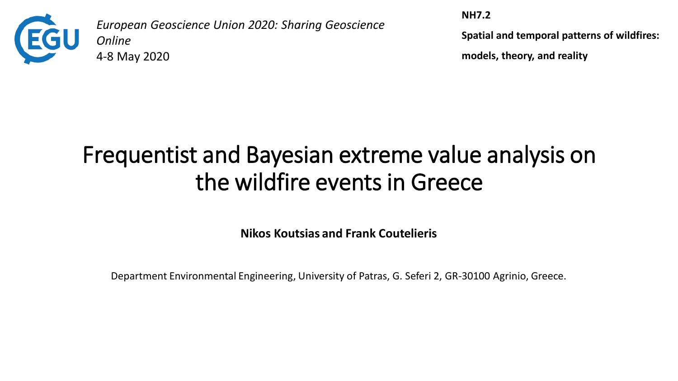

*European Geoscience Union 2020: Sharing Geoscience Online*  4-8 May 2020

**NH7.2**

**Spatial and temporal patterns of wildfires:** 

**models, theory, and reality**

# Frequentist and Bayesian extreme value analysis on the wildfire events in Greece

**Nikos Koutsias and Frank Coutelieris**

Department Environmental Engineering, University of Patras, G. Seferi 2, GR-30100 Agrinio, Greece.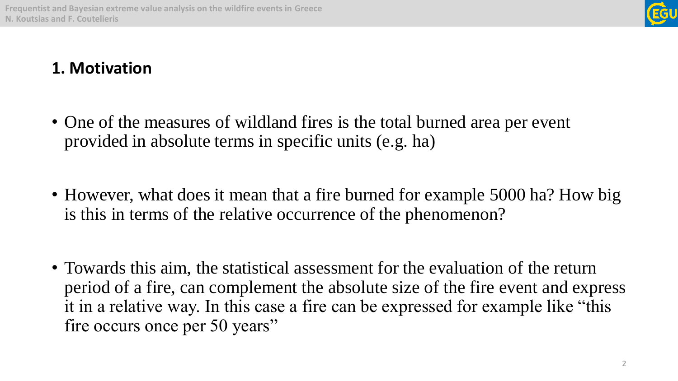

### **1. Motivation**

- One of the measures of wildland fires is the total burned area per event provided in absolute terms in specific units (e.g. ha)
- However, what does it mean that a fire burned for example 5000 ha? How big is this in terms of the relative occurrence of the phenomenon?
- Towards this aim, the statistical assessment for the evaluation of the return period of a fire, can complement the absolute size of the fire event and express it in a relative way. In this case a fire can be expressed for example like "this fire occurs once per 50 years"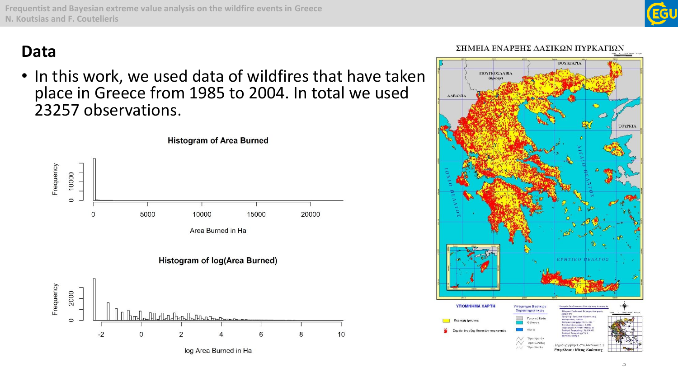**Frequentist and Bayesian extreme value analysis on the wildfire events in Greece N. Koutsias and F. Coutelieris**

### **Data**

• In this work, we used data of wildfires that have taken place in Greece from 1985 to 2004. In total we used 23257 observations.





3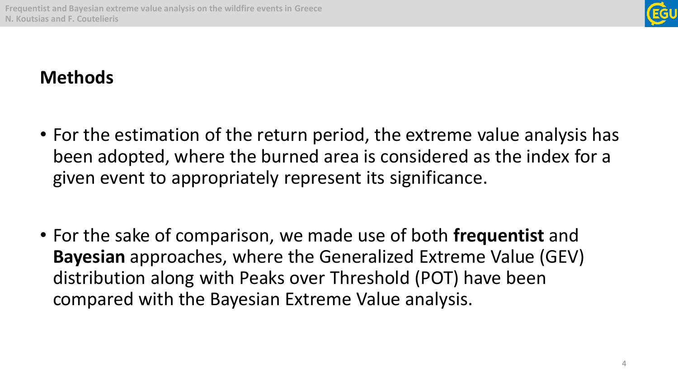

### **Methods**

- For the estimation of the return period, the extreme value analysis has been adopted, where the burned area is considered as the index for a given event to appropriately represent its significance.
- For the sake of comparison, we made use of both **frequentist** and **Bayesian** approaches, where the Generalized Extreme Value (GEV) distribution along with Peaks over Threshold (POT) have been compared with the Bayesian Extreme Value analysis.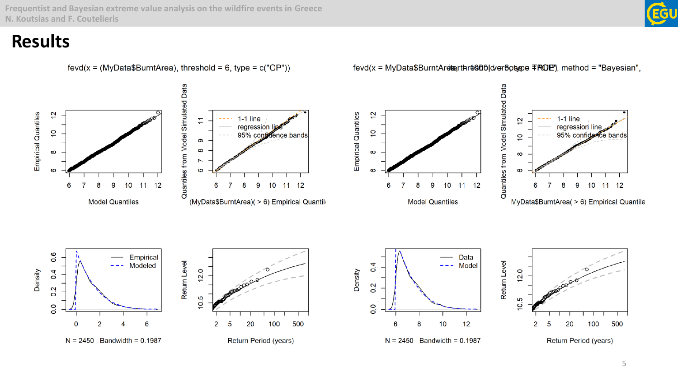**Frequentist and Bayesian extreme value analysis on the wildfire events in Greece N. Koutsias and F. Coutelieris**

### **Results**



fevd(x = MyData\$BurntAreterthre900|d/er6ose = FRGE'), method = "Bayesian",

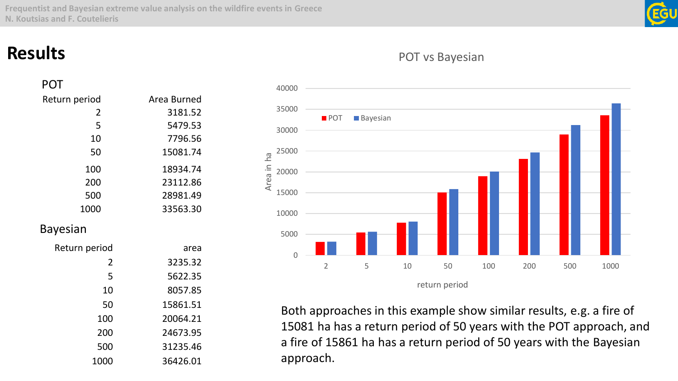Area in ha

### **Results**

| POT           |             |
|---------------|-------------|
| Return period | Area Burned |
| 2             | 3181.52     |
| 5             | 5479.53     |
| 10            | 7796.56     |
| 50            | 15081.74    |
| 100           | 18934.74    |
| 200           | 23112.86    |
| 500           | 28981.49    |
| 1000          | 33563.30    |
| Bayesian      |             |
| Return period | area        |
| 2             | 3235.32     |
| 5             | 5622.35     |
| 10            | 8057.85     |
| 50            | 15861.51    |
| 100           | 20064.21    |
| 200           | 24673.95    |
| 500           | 31235.46    |
| 1000          | 36426.01    |

### 5 10 50 100 200 500 1000 return period **POT** Bayesian

Both approaches in this example show similar results, e.g. a fire of 15081 ha has a return period of 50 years with the POT approach, and a fire of 15861 ha has a return period of 50 years with the Bayesian approach.

### POT vs Bayesian